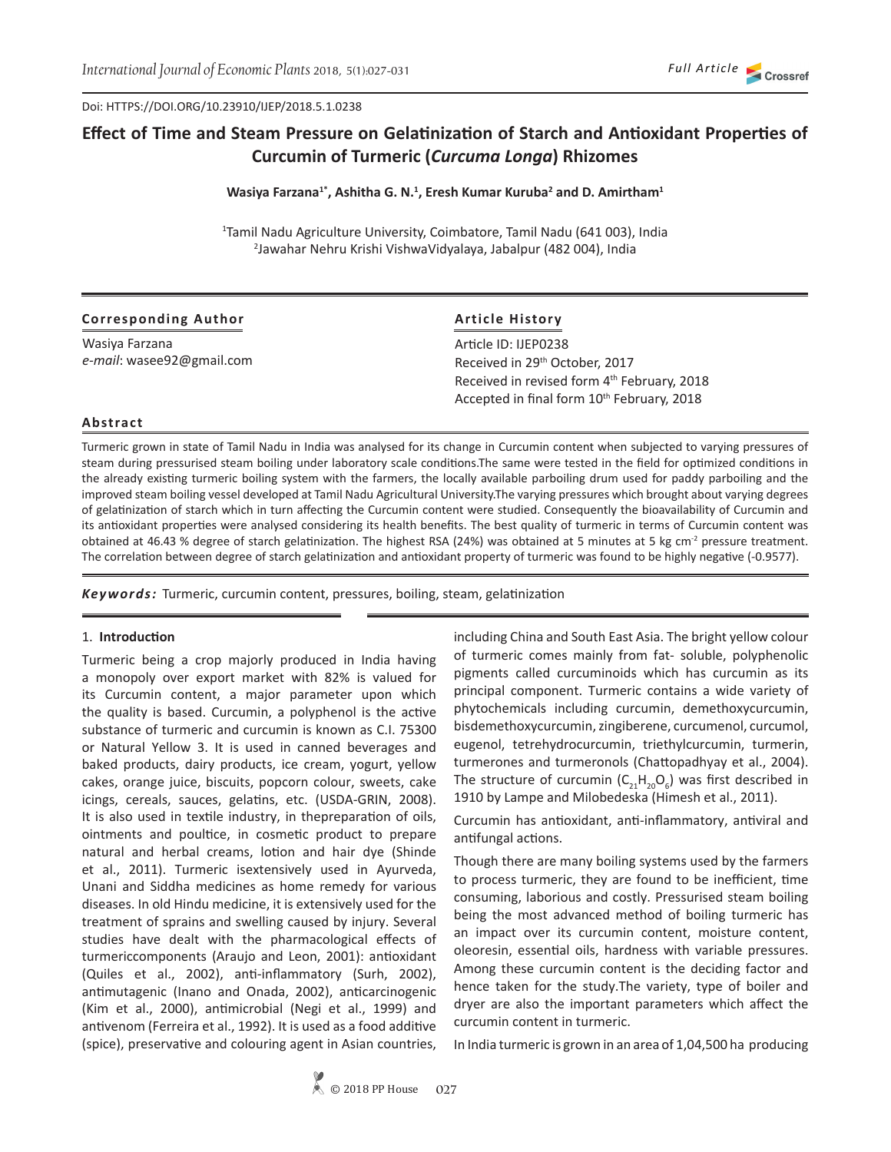Doi: HTTPS://DOI.ORG/10.23910/IJEP/2018.5.1.0238

# **Effect of Time and Steam Pressure on Gelatinization of Starch and Antioxidant Properties of Curcumin of Turmeric (***Curcuma Longa***) Rhizomes**

#### **Wasiya Farzana1\*, Ashitha G. N.<sup>1</sup> , Eresh Kumar Kuruba<sup>2</sup> and D. Amirtham<sup>1</sup>**

1 Tamil Nadu Agriculture University, Coimbatore, Tamil Nadu (641 003), India 2 Jawahar Nehru Krishi VishwaVidyalaya, Jabalpur (482 004), India

| <b>Corresponding Author</b> | <b>Article History</b>                                 |  |
|-----------------------------|--------------------------------------------------------|--|
| Wasiya Farzana              | Article ID: IJEP0238                                   |  |
| e-mail: wasee92@gmail.com   | Received in 29 <sup>th</sup> October, 2017             |  |
|                             | Received in revised form 4th February, 2018            |  |
|                             | Accepted in final form 10 <sup>th</sup> February, 2018 |  |

#### **Abstract**

Turmeric grown in state of Tamil Nadu in India was analysed for its change in Curcumin content when subjected to varying pressures of steam during pressurised steam boiling under laboratory scale conditions.The same were tested in the field for optimized conditions in the already existing turmeric boiling system with the farmers, the locally available parboiling drum used for paddy parboiling and the improved steam boiling vessel developed at Tamil Nadu Agricultural University.The varying pressures which brought about varying degrees of gelatinization of starch which in turn affecting the Curcumin content were studied. Consequently the bioavailability of Curcumin and its antioxidant properties were analysed considering its health benefits. The best quality of turmeric in terms of Curcumin content was obtained at 46.43 % degree of starch gelatinization. The highest RSA (24%) was obtained at 5 minutes at 5 kg cm<sup>2</sup> pressure treatment. The correlation between degree of starch gelatinization and antioxidant property of turmeric was found to be highly negative (-0.9577).

*Keywords:* Turmeric, curcumin content, pressures, boiling, steam, gelatinization

#### 1. **Introduction**

Turmeric being a crop majorly produced in India having a monopoly over export market with 82% is valued for its Curcumin content, a major parameter upon which the quality is based. Curcumin, a polyphenol is the active substance of turmeric and curcumin is known as C.I. 75300 or Natural Yellow 3. It is used in canned beverages and baked products, dairy products, ice cream, yogurt, yellow cakes, orange juice, biscuits, popcorn colour, sweets, cake icings, cereals, sauces, gelatins, etc. (USDA-GRIN, 2008). It is also used in textile industry, in thepreparation of oils, ointments and poultice, in cosmetic product to prepare natural and herbal creams, lotion and hair dye (Shinde et al., 2011). Turmeric isextensively used in Ayurveda, Unani and Siddha medicines as home remedy for various diseases. In old Hindu medicine, it is extensively used for the treatment of sprains and swelling caused by injury. Several studies have dealt with the pharmacological effects of turmericcomponents (Araujo and Leon, 2001): antioxidant (Quiles et al., 2002), anti-inflammatory (Surh, 2002), antimutagenic (Inano and Onada, 2002), anticarcinogenic (Kim et al., 2000), antimicrobial (Negi et al., 1999) and antivenom (Ferreira et al., 1992). It is used as a food additive (spice), preservative and colouring agent in Asian countries,

including China and South East Asia. The bright yellow colour of turmeric comes mainly from fat- soluble, polyphenolic pigments called curcuminoids which has curcumin as its principal component. Turmeric contains a wide variety of phytochemicals including curcumin, demethoxycurcumin, bisdemethoxycurcumin, zingiberene, curcumenol, curcumol, eugenol, tetrehydrocurcumin, triethylcurcumin, turmerin, turmerones and turmeronols (Chattopadhyay et al., 2004). The structure of curcumin  $(C_{21}H_{20}O_6)$  was first described in 1910 by Lampe and Milobedeska (Himesh et al., 2011).

Curcumin has antioxidant, anti-inflammatory, antiviral and antifungal actions.

Though there are many boiling systems used by the farmers to process turmeric, they are found to be inefficient, time consuming, laborious and costly. Pressurised steam boiling being the most advanced method of boiling turmeric has an impact over its curcumin content, moisture content, oleoresin, essential oils, hardness with variable pressures. Among these curcumin content is the deciding factor and hence taken for the study.The variety, type of boiler and dryer are also the important parameters which affect the curcumin content in turmeric.

In India turmeric is grown in an area of 1,04,500 ha producing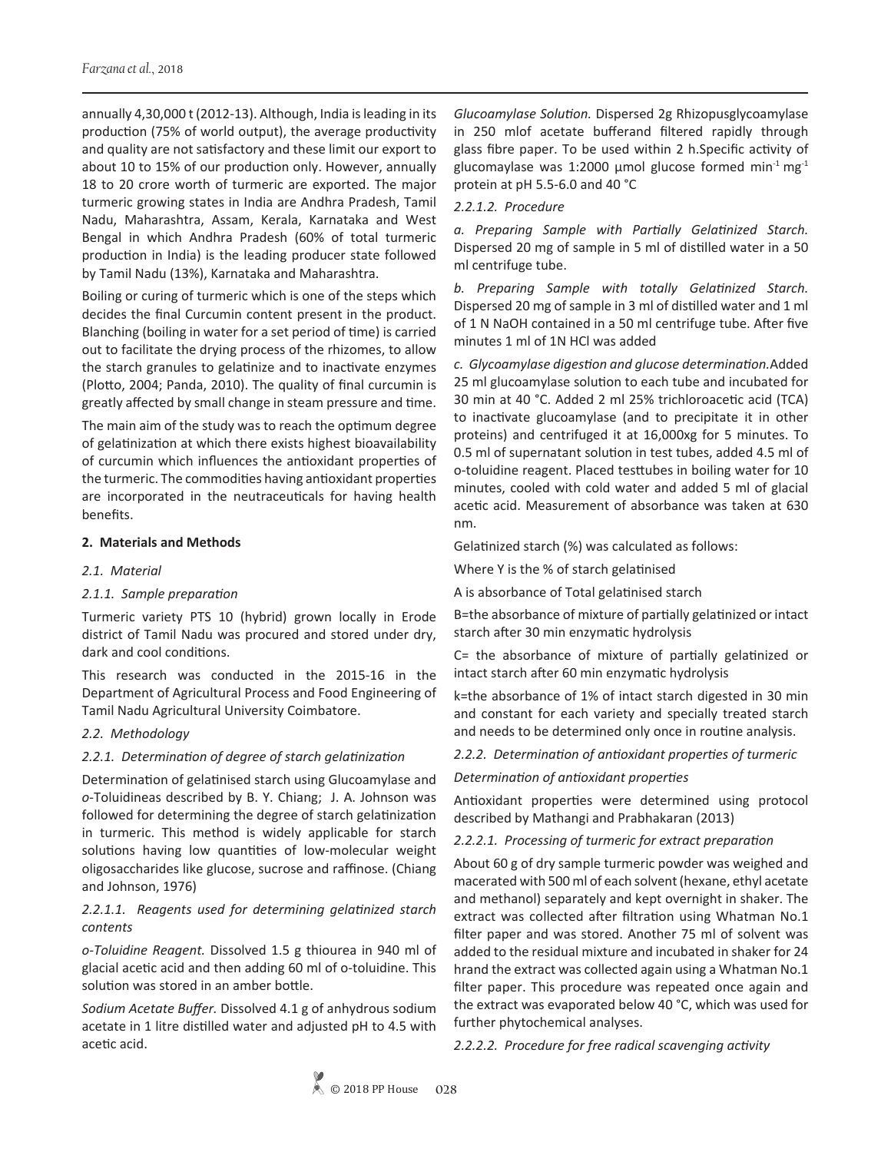annually 4,30,000 t (2012-13). Although, India is leading in its production (75% of world output), the average productivity and quality are not satisfactory and these limit our export to about 10 to 15% of our production only. However, annually 18 to 20 crore worth of turmeric are exported. The major turmeric growing states in India are Andhra Pradesh, Tamil Nadu, Maharashtra, Assam, Kerala, Karnataka and West Bengal in which Andhra Pradesh (60% of total turmeric production in India) is the leading producer state followed by Tamil Nadu (13%), Karnataka and Maharashtra.

Boiling or curing of turmeric which is one of the steps which decides the final Curcumin content present in the product. Blanching (boiling in water for a set period of time) is carried out to facilitate the drying process of the rhizomes, to allow the starch granules to gelatinize and to inactivate enzymes (Plotto, 2004; Panda, 2010). The quality of final curcumin is greatly affected by small change in steam pressure and time.

The main aim of the study was to reach the optimum degree of gelatinization at which there exists highest bioavailability of curcumin which influences the antioxidant properties of the turmeric. The commodities having antioxidant properties are incorporated in the neutraceuticals for having health benefits.

### **2. Materials and Methods**

### *2.1. Material*

#### *2.1.1. Sample preparation*

Turmeric variety PTS 10 (hybrid) grown locally in Erode district of Tamil Nadu was procured and stored under dry, dark and cool conditions.

This research was conducted in the 2015-16 in the Department of Agricultural Process and Food Engineering of Tamil Nadu Agricultural University Coimbatore.

#### *2.2. Methodology*

### *2.2.1. Determination of degree of starch gelatinization*

Determination of gelatinised starch using Glucoamylase and *o*-Toluidineas described by B. Y. Chiang; J. A. Johnson was followed for determining the degree of starch gelatinization in turmeric. This method is widely applicable for starch solutions having low quantities of low-molecular weight oligosaccharides like glucose, sucrose and raffinose. (Chiang and Johnson, 1976)

### *2.2.1.1. Reagents used for determining gelatinized starch contents*

*o-Toluidine Reagent.* Dissolved 1.5 g thiourea in 940 ml of glacial acetic acid and then adding 60 ml of o-toluidine. This solution was stored in an amber bottle.

*Sodium Acetate Buffer.* Dissolved 4.1 g of anhydrous sodium acetate in 1 litre distilled water and adjusted pH to 4.5 with acetic acid.

*Glucoamylase Solution.* Dispersed 2g Rhizopusglycoamylase in 250 mlof acetate bufferand filtered rapidly through glass fibre paper. To be used within 2 h.Specific activity of glucomaylase was 1:2000 µmol glucose formed min<sup>-1</sup> mg<sup>-1</sup> protein at pH 5.5-6.0 and 40 °C

### *2.2.1.2. Procedure*

*a. Preparing Sample with Partially Gelatinized Starch.* Dispersed 20 mg of sample in 5 ml of distilled water in a 50 ml centrifuge tube.

*b. Preparing Sample with totally Gelatinized Starch.* Dispersed 20 mg of sample in 3 ml of distilled water and 1 ml of 1 N NaOH contained in a 50 ml centrifuge tube. After five minutes 1 ml of 1N HCl was added

*c. Glycoamylase digestion and glucose determination.*Added 25 ml glucoamylase solution to each tube and incubated for 30 min at 40 °C. Added 2 ml 25% trichloroacetic acid (TCA) to inactivate glucoamylase (and to precipitate it in other proteins) and centrifuged it at 16,000xg for 5 minutes. To 0.5 ml of supernatant solution in test tubes, added 4.5 ml of o-toluidine reagent. Placed testtubes in boiling water for 10 minutes, cooled with cold water and added 5 ml of glacial acetic acid. Measurement of absorbance was taken at 630 nm.

Gelatinized starch (%) was calculated as follows:

Where Y is the % of starch gelatinised

A is absorbance of Total gelatinised starch

B=the absorbance of mixture of partially gelatinized or intact starch after 30 min enzymatic hydrolysis

C= the absorbance of mixture of partially gelatinized or intact starch after 60 min enzymatic hydrolysis

k=the absorbance of 1% of intact starch digested in 30 min and constant for each variety and specially treated starch and needs to be determined only once in routine analysis.

*2.2.2. Determination of antioxidant properties of turmeric*

*Determination of antioxidant properties*

Antioxidant properties were determined using protocol described by Mathangi and Prabhakaran (2013)

### *2.2.2.1. Processing of turmeric for extract preparation*

About 60 g of dry sample turmeric powder was weighed and macerated with 500 ml of each solvent (hexane, ethyl acetate and methanol) separately and kept overnight in shaker. The extract was collected after filtration using Whatman No.1 filter paper and was stored. Another 75 ml of solvent was added to the residual mixture and incubated in shaker for 24 hrand the extract was collected again using a Whatman No.1 filter paper. This procedure was repeated once again and the extract was evaporated below 40 °C, which was used for further phytochemical analyses.

*2.2.2.2. Procedure for free radical scavenging activity*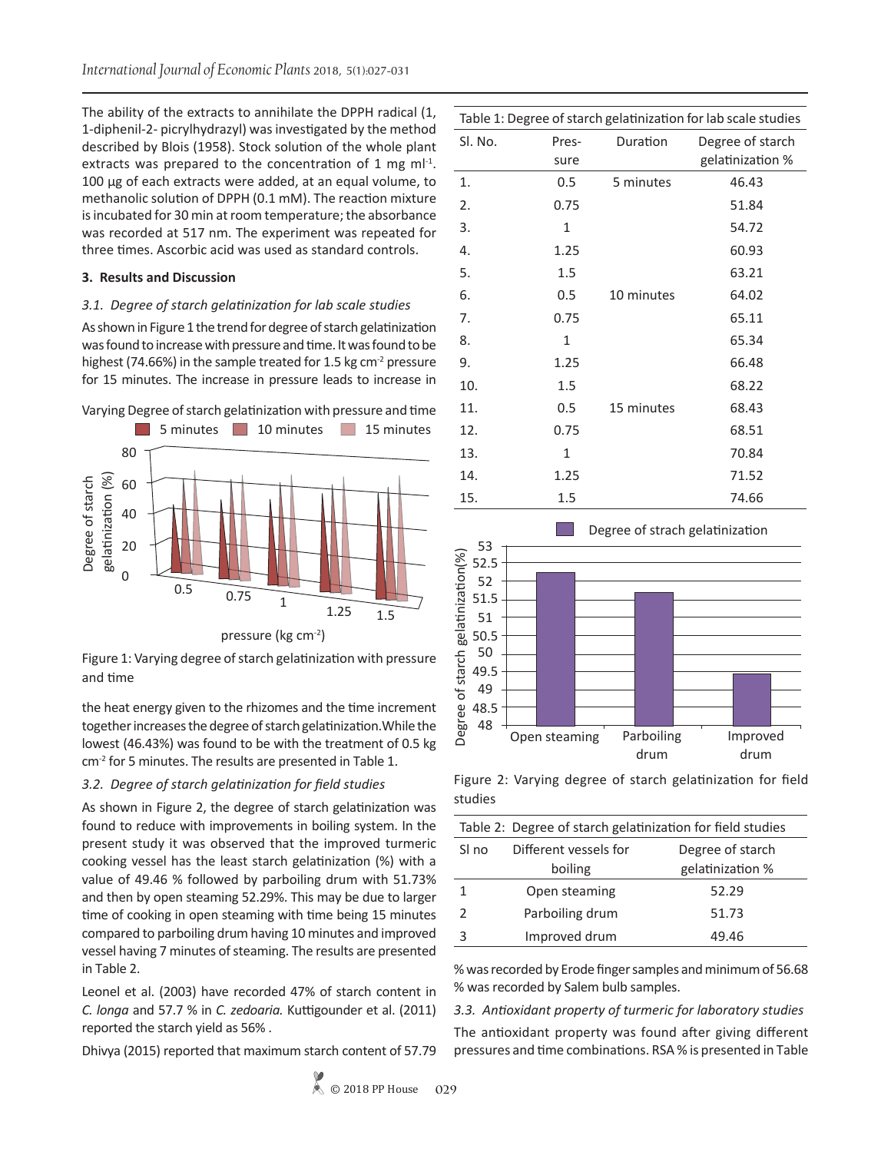The ability of the extracts to annihilate the DPPH radical (1, 1-diphenil-2- picrylhydrazyl) was investigated by the method described by Blois (1958). Stock solution of the whole plant extracts was prepared to the concentration of 1 mg m $I^{-1}$ . 100 μg of each extracts were added, at an equal volume, to methanolic solution of DPPH (0.1 mM). The reaction mixture is incubated for 30 min at room temperature; the absorbance was recorded at 517 nm. The experiment was repeated for three times. Ascorbic acid was used as standard controls.

#### **3. Results and Discussion**

#### *3.1. Degree of starch gelatinization for lab scale studies*

As shown in Figure 1 the trend for degree of starch gelatinization was found to increase with pressure and time. It was found to be highest (74.66%) in the sample treated for 1.5 kg  $cm<sup>2</sup>$  pressure for 15 minutes. The increase in pressure leads to increase in





Figure 1: Varying degree of starch gelatinization with pressure and time

the heat energy given to the rhizomes and the time increment together increases the degree of starch gelatinization.While the lowest (46.43%) was found to be with the treatment of 0.5 kg cm<sup>-2</sup> for 5 minutes. The results are presented in Table 1.

#### *3.2. Degree of starch gelatinization for field studies*

As shown in Figure 2, the degree of starch gelatinization was found to reduce with improvements in boiling system. In the present study it was observed that the improved turmeric cooking vessel has the least starch gelatinization (%) with a value of 49.46 % followed by parboiling drum with 51.73% and then by open steaming 52.29%. This may be due to larger time of cooking in open steaming with time being 15 minutes compared to parboiling drum having 10 minutes and improved vessel having 7 minutes of steaming. The results are presented in Table 2.

Leonel et al. (2003) have recorded 47% of starch content in *C. longa* and 57.7 % in *C. zedoaria.* Kuttigounder et al. (2011) reported the starch yield as 56% .

Dhivya (2015) reported that maximum starch content of 57.79

|     | Sl. No. | Pres-   | Duration   | Degree of starch |
|-----|---------|---------|------------|------------------|
|     |         | sure    |            | gelatinization % |
| 1.  |         | 0.5     | 5 minutes  | 46.43            |
| 2.  |         | 0.75    |            | 51.84            |
| 3.  |         | 1       |            | 54.72            |
| 4.  |         | 1.25    |            | 60.93            |
| 5.  |         | 1.5     |            | 63.21            |
| 6.  |         | 0.5     | 10 minutes | 64.02            |
| 7.  |         | 0.75    |            | 65.11            |
| 8.  |         | 1       |            | 65.34            |
| 9.  |         | 1.25    |            | 66.48            |
| 10. |         | 1.5     |            | 68.22            |
| 11. |         | $0.5\,$ | 15 minutes | 68.43            |
| 12. |         | 0.75    |            | 68.51            |
| 13. |         | 1       |            | 70.84            |
| 14. |         | 1.25    |            | 71.52            |
| 15. |         | 1.5     |            | 74.66            |



Figure 2: Varying degree of starch gelatinization for field studies

| Table 2: Degree of starch gelatinization for field studies |                       |                  |
|------------------------------------------------------------|-----------------------|------------------|
| SI no                                                      | Different vessels for | Degree of starch |
|                                                            | boiling               | gelatinization % |
| 1                                                          | Open steaming         | 52.29            |
| $\mathcal{P}$                                              | Parboiling drum       | 51.73            |
| 3                                                          | Improved drum         | 49.46            |

% was recorded by Erode finger samples and minimum of 56.68 % was recorded by Salem bulb samples.

*3.3. Antioxidant property of turmeric for laboratory studies*

The antioxidant property was found after giving different pressures and time combinations. RSA % is presented in Table

Table 1: Degree of starch gelatinization for lab scale studies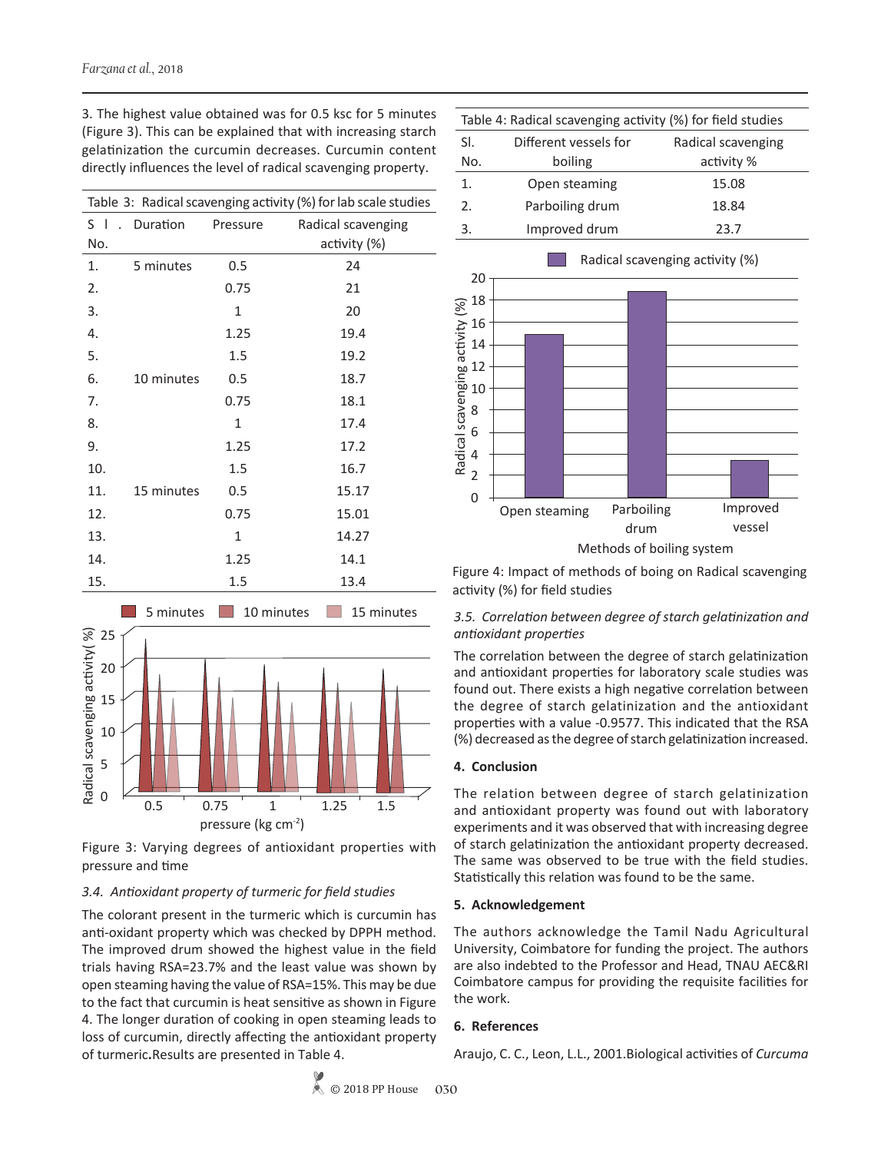| Table 3: Radical scavenging activity (%) for lab scale studies |            |          |                    |
|----------------------------------------------------------------|------------|----------|--------------------|
| S I<br>$\sim$                                                  | Duration   | Pressure | Radical scavenging |
| No.                                                            |            |          | activity (%)       |
| 1.                                                             | 5 minutes  | 0.5      | 24                 |
| 2.                                                             |            | 0.75     | 21                 |
| 3.                                                             |            | 1        | 20                 |
| 4.                                                             |            | 1.25     | 19.4               |
| 5.                                                             |            | 1.5      | 19.2               |
| 6.                                                             | 10 minutes | 0.5      | 18.7               |
| 7.                                                             |            | 0.75     | 18.1               |
| 8.                                                             |            | 1        | 17.4               |
| 9.                                                             |            | 1.25     | 17.2               |
| 10.                                                            |            | 1.5      | 16.7               |
| 11.                                                            | 15 minutes | 0.5      | 15.17              |
| 12.                                                            |            | 0.75     | 15.01              |
| 13.                                                            |            | 1        | 14.27              |
| 14.                                                            |            | 1.25     | 14.1               |
| 15.                                                            |            | 1.5      | 13.4               |

3. The highest value obtained was for 0.5 ksc for 5 minutes (Figure 3). This can be explained that with increasing starch gelatinization the curcumin decreases. Curcumin content directly influences the level of radical scavenging property.



Figure 3: Varying degrees of antioxidant properties with pressure and time

# *3.4. Antioxidant property of turmeric for field studies*

The colorant present in the turmeric which is curcumin has anti-oxidant property which was checked by DPPH method. The improved drum showed the highest value in the field trials having RSA=23.7% and the least value was shown by open steaming having the value of RSA=15%. This may be due to the fact that curcumin is heat sensitive as shown in Figure 4. The longer duration of cooking in open steaming leads to loss of curcumin, directly affecting the antioxidant property of turmeric**.**Results are presented in Table 4.

| Table 4: Radical scavenging activity (%) for field studies |                       |                    |  |
|------------------------------------------------------------|-----------------------|--------------------|--|
| SI.                                                        | Different vessels for | Radical scavenging |  |
| No.                                                        | boiling               | activity %         |  |
| $\mathbf 1$ .                                              | Open steaming         | 15.08              |  |
| 2.                                                         | Parboiling drum       | 18.84              |  |
| 3.                                                         | Improved drum         | 23.7               |  |
|                                                            |                       |                    |  |



Figure 4: Impact of methods of boing on Radical scavenging activity (%) for field studies

## *3.5. Correlation between degree of starch gelatinization and antioxidant properties*

The correlation between the degree of starch gelatinization and antioxidant properties for laboratory scale studies was found out. There exists a high negative correlation between the degree of starch gelatinization and the antioxidant properties with a value -0.9577. This indicated that the RSA (%) decreased as the degree of starch gelatinization increased.

### **4. Conclusion**

The relation between degree of starch gelatinization and antioxidant property was found out with laboratory experiments and it was observed that with increasing degree of starch gelatinization the antioxidant property decreased. The same was observed to be true with the field studies. Statistically this relation was found to be the same.

### **5. Acknowledgement**

The authors acknowledge the Tamil Nadu Agricultural University, Coimbatore for funding the project. The authors are also indebted to the Professor and Head, TNAU AEC&RI Coimbatore campus for providing the requisite facilities for the work.

# **6. References**

Araujo, C. C., Leon, L.L., 2001.Biological activities of *Curcuma*